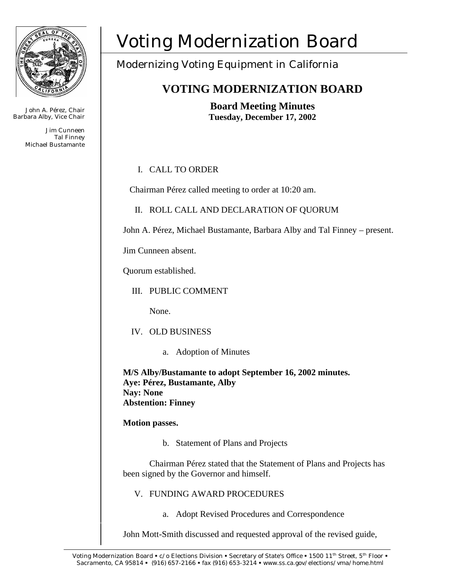

John A. Pérez, Chair Barbara Alby, Vice Chair

> Jim Cunneen Tal Finney Michael Bustamante

# Voting Modernization Board

# Modernizing Voting Equipment in California

# **VOTING MODERNIZATION BOARD**

**Board Meeting Minutes Tuesday, December 17, 2002** 

# I. CALL TO ORDER

Chairman Pérez called meeting to order at 10:20 am.

II. ROLL CALL AND DECLARATION OF QUORUM

John A. Pérez, Michael Bustamante, Barbara Alby and Tal Finney – present.

Jim Cunneen absent.

Quorum established.

III. PUBLIC COMMENT

None.

- IV. OLD BUSINESS
	- a. Adoption of Minutes

**M/S Alby/Bustamante to adopt September 16, 2002 minutes. Aye: Pérez, Bustamante, Alby Nay: None Abstention: Finney** 

# **Motion passes.**

b. Statement of Plans and Projects

Chairman Pérez stated that the Statement of Plans and Projects has been signed by the Governor and himself.

- V. FUNDING AWARD PROCEDURES
	- a. Adopt Revised Procedures and Correspondence

John Mott-Smith discussed and requested approval of the revised guide,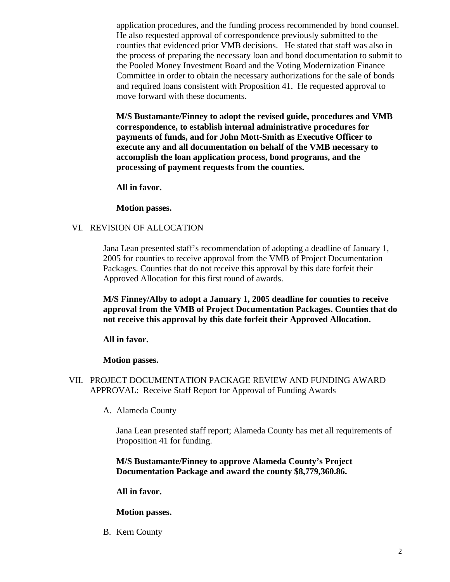application procedures, and the funding process recommended by bond counsel. He also requested approval of correspondence previously submitted to the counties that evidenced prior VMB decisions. He stated that staff was also in the process of preparing the necessary loan and bond documentation to submit to the Pooled Money Investment Board and the Voting Modernization Finance Committee in order to obtain the necessary authorizations for the sale of bonds and required loans consistent with Proposition 41. He requested approval to move forward with these documents.

**M/S Bustamante/Finney to adopt the revised guide, procedures and VMB correspondence, to establish internal administrative procedures for payments of funds, and for John Mott-Smith as Executive Officer to execute any and all documentation on behalf of the VMB necessary to accomplish the loan application process, bond programs, and the processing of payment requests from the counties.** 

**All in favor.**

**Motion passes.**

# VI. REVISION OF ALLOCATION

Jana Lean presented staff's recommendation of adopting a deadline of January 1, 2005 for counties to receive approval from the VMB of Project Documentation Packages. Counties that do not receive this approval by this date forfeit their Approved Allocation for this first round of awards.

**M/S Finney/Alby to adopt a January 1, 2005 deadline for counties to receive approval from the VMB of Project Documentation Packages. Counties that do not receive this approval by this date forfeit their Approved Allocation.**

# **All in favor.**

# **Motion passes.**

- VII. PROJECT DOCUMENTATION PACKAGE REVIEW AND FUNDING AWARD APPROVAL: Receive Staff Report for Approval of Funding Awards
	- A. Alameda County

Jana Lean presented staff report; Alameda County has met all requirements of Proposition 41 for funding.

**M/S Bustamante/Finney to approve Alameda County's Project Documentation Package and award the county \$8,779,360.86.**

# **All in favor.**

# **Motion passes.**

B. Kern County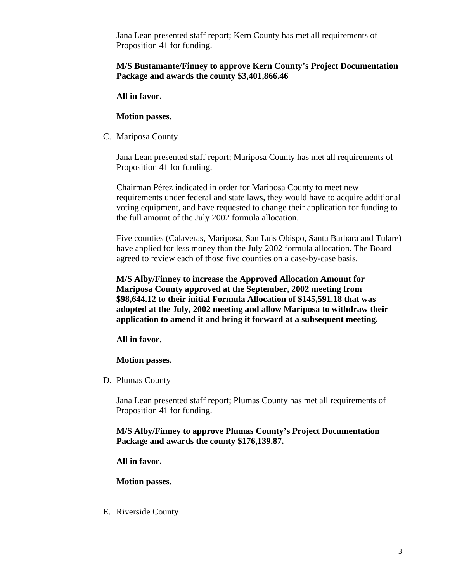Jana Lean presented staff report; Kern County has met all requirements of Proposition 41 for funding.

# **M/S Bustamante/Finney to approve Kern County's Project Documentation Package and awards the county \$3,401,866.46**

**All in favor.** 

**Motion passes.** 

C. Mariposa County

Jana Lean presented staff report; Mariposa County has met all requirements of Proposition 41 for funding.

Chairman Pérez indicated in order for Mariposa County to meet new requirements under federal and state laws, they would have to acquire additional voting equipment, and have requested to change their application for funding to the full amount of the July 2002 formula allocation.

Five counties (Calaveras, Mariposa, San Luis Obispo, Santa Barbara and Tulare) have applied for less money than the July 2002 formula allocation. The Board agreed to review each of those five counties on a case-by-case basis.

**M/S Alby/Finney to increase the Approved Allocation Amount for Mariposa County approved at the September, 2002 meeting from \$98,644.12 to their initial Formula Allocation of \$145,591.18 that was adopted at the July, 2002 meeting and allow Mariposa to withdraw their application to amend it and bring it forward at a subsequent meeting.**

# **All in favor.**

# **Motion passes.**

D. Plumas County

Jana Lean presented staff report; Plumas County has met all requirements of Proposition 41 for funding.

**M/S Alby/Finney to approve Plumas County's Project Documentation Package and awards the county \$176,139.87.**

**All in favor.** 

**Motion passes.** 

E. Riverside County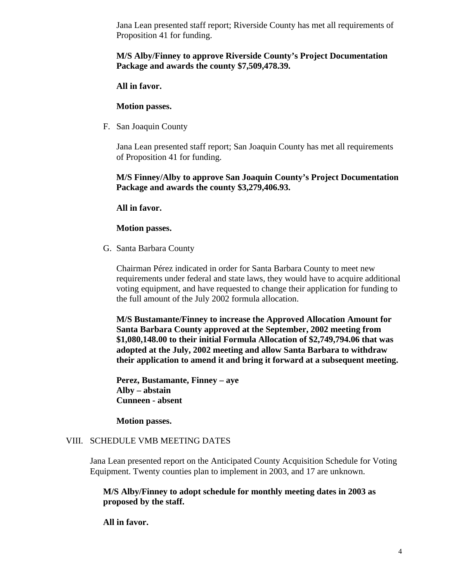Jana Lean presented staff report; Riverside County has met all requirements of Proposition 41 for funding.

# **M/S Alby/Finney to approve Riverside County's Project Documentation Package and awards the county \$7,509,478.39.**

# **All in favor.**

#### **Motion passes.**

F. San Joaquin County

Jana Lean presented staff report; San Joaquin County has met all requirements of Proposition 41 for funding.

# **M/S Finney/Alby to approve San Joaquin County's Project Documentation Package and awards the county \$3,279,406.93.**

**All in favor.** 

#### **Motion passes.**

G. Santa Barbara County

Chairman Pérez indicated in order for Santa Barbara County to meet new requirements under federal and state laws, they would have to acquire additional voting equipment, and have requested to change their application for funding to the full amount of the July 2002 formula allocation.

**M/S Bustamante/Finney to increase the Approved Allocation Amount for Santa Barbara County approved at the September, 2002 meeting from \$1,080,148.00 to their initial Formula Allocation of \$2,749,794.06 that was adopted at the July, 2002 meeting and allow Santa Barbara to withdraw their application to amend it and bring it forward at a subsequent meeting.**

**Perez, Bustamante, Finney – aye Alby – abstain Cunneen - absent**

**Motion passes.**

# VIII. SCHEDULE VMB MEETING DATES

Jana Lean presented report on the Anticipated County Acquisition Schedule for Voting Equipment. Twenty counties plan to implement in 2003, and 17 are unknown.

**M/S Alby/Finney to adopt schedule for monthly meeting dates in 2003 as proposed by the staff.** 

**All in favor.**